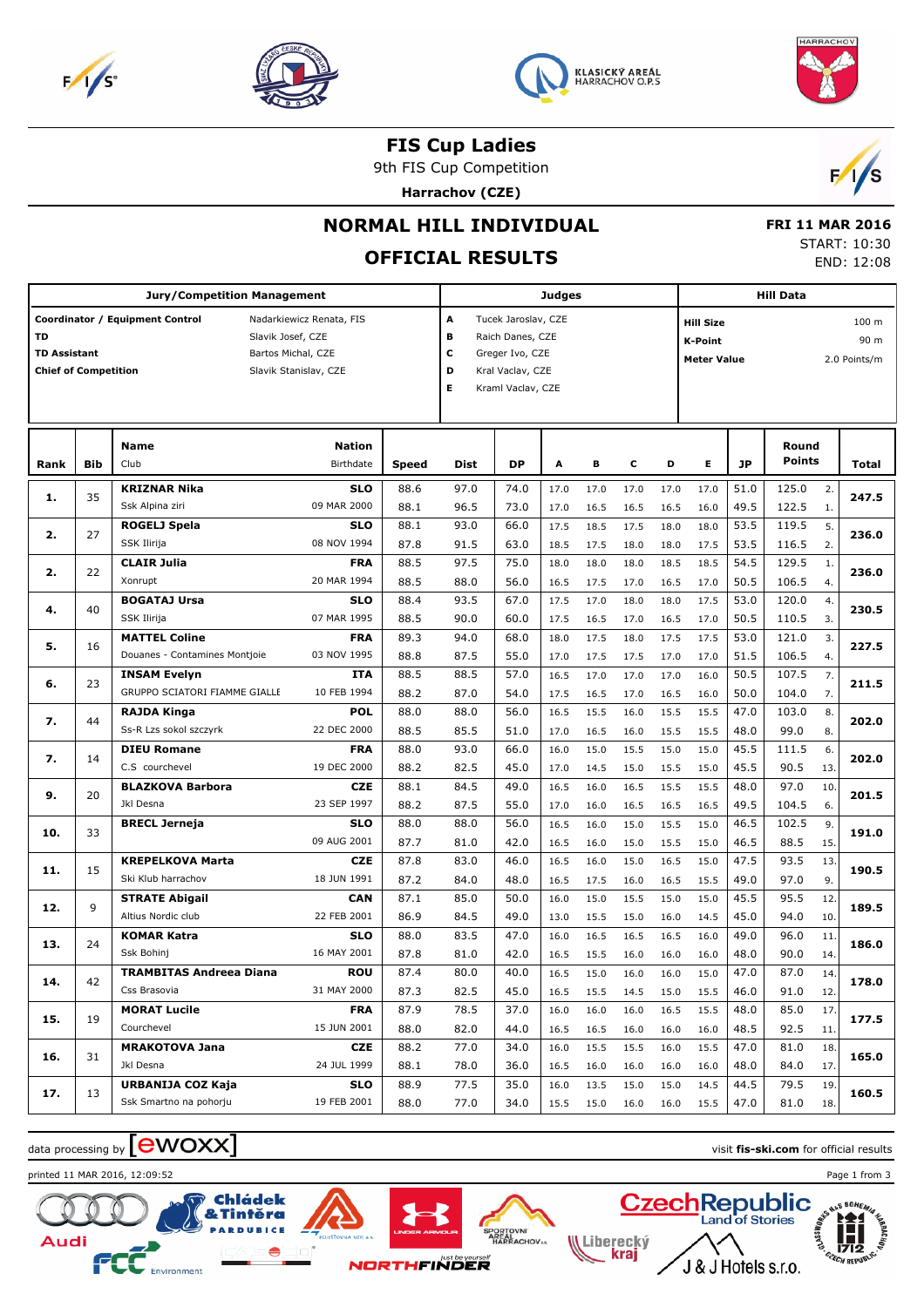







**FIS Cup Ladies**

9th FIS Cup Competition

**Harrachov (CZE)**



## **NORMAL HILL INDIVIDUAL**

# **OFFICIAL RESULTS**

 **FRI 11 MAR 2016** START: 10:30 END: 12:08

|                                                          |     | <b>Jury/Competition Management</b>                                                                                              |                                          |                                                                                                                              |                      |                      | Judges       |              |              |              | <b>Hill Data</b>                                                                              |                      |                         |                |       |
|----------------------------------------------------------|-----|---------------------------------------------------------------------------------------------------------------------------------|------------------------------------------|------------------------------------------------------------------------------------------------------------------------------|----------------------|----------------------|--------------|--------------|--------------|--------------|-----------------------------------------------------------------------------------------------|----------------------|-------------------------|----------------|-------|
| TD<br><b>TD Assistant</b><br><b>Chief of Competition</b> |     | Coordinator / Equipment Control<br>Nadarkiewicz Renata, FIS<br>Slavik Josef, CZE<br>Bartos Michal, CZE<br>Slavik Stanislav, CZE |                                          | A<br>Tucek Jaroslav, CZE<br>в<br>Raich Danes, CZE<br>с<br>Greger Ivo, CZE<br>D<br>Kral Vaclav, CZE<br>Е<br>Kraml Vaclav, CZE |                      |                      |              |              |              |              | 100 <sub>m</sub><br><b>Hill Size</b><br>90 m<br>K-Point<br><b>Meter Value</b><br>2.0 Points/m |                      |                         |                |       |
| Rank                                                     | Bib | <b>Name</b><br>Club                                                                                                             | <b>Nation</b><br>Birthdate               | <b>Speed</b>                                                                                                                 | Dist                 | <b>DP</b>            | A            | в            | c            | D            | Е                                                                                             | <b>JP</b>            | Round<br><b>Points</b>  |                | Total |
| 1.                                                       | 35  | <b>KRIZNAR Nika</b><br>Ssk Alpina ziri                                                                                          | <b>SLO</b><br>09 MAR 2000                | 88.6<br>88.1                                                                                                                 | 97.0<br>96.5         | 74.0<br>73.0         | 17.0<br>17.0 | 17.0<br>16.5 | 17.0<br>16.5 | 17.0<br>16.5 | 17.0<br>16.0                                                                                  | 51.0<br>49.5         | 125.0<br>122.5          | 2.<br>1.       | 247.5 |
| 2.                                                       | 27  | ROGELJ Spela<br>SSK Ilirija                                                                                                     | <b>SLO</b><br>08 NOV 1994                | 88.1<br>87.8                                                                                                                 | 93.0<br>91.5         | 66.0<br>63.0         | 17.5<br>18.5 | 18.5<br>17.5 | 17.5<br>18.0 | 18.0<br>18.0 | 18.0<br>17.5                                                                                  | 53.5<br>53.5         | 119.5<br>116.5          | 5.<br>2.       | 236.0 |
| 2.                                                       | 22  | <b>CLAIR Julia</b>                                                                                                              | <b>FRA</b>                               | 88.5                                                                                                                         | 97.5                 | 75.0                 | 18.0         | 18.0         | 18.0         | 18.5         | 18.5                                                                                          | 54.5                 | 129.5                   | 1.             | 236.0 |
| 4.                                                       | 40  | Xonrupt<br><b>BOGATAJ Ursa</b><br>SSK Ilirija                                                                                   | 20 MAR 1994<br><b>SLO</b><br>07 MAR 1995 | 88.5<br>88.4                                                                                                                 | 88.0<br>93.5         | 56.0<br>67.0         | 16.5<br>17.5 | 17.5<br>17.0 | 17.0<br>18.0 | 16.5<br>18.0 | 17.0<br>17.5                                                                                  | 50.5<br>53.0         | 106.5<br>120.0          | 4.<br>4.       | 230.5 |
| 5.                                                       | 16  | <b>MATTEL Coline</b><br>Douanes - Contamines Montjoie                                                                           | <b>FRA</b><br>03 NOV 1995                | 88.5<br>89.3<br>88.8                                                                                                         | 90.0<br>94.0<br>87.5 | 60.0<br>68.0<br>55.0 | 17.5<br>18.0 | 16.5<br>17.5 | 17.0<br>18.0 | 16.5<br>17.5 | 17.0<br>17.5                                                                                  | 50.5<br>53.0<br>51.5 | 110.5<br>121.0<br>106.5 | 3.<br>3.       | 227.5 |
| 6.                                                       | 23  | <b>INSAM Evelyn</b><br>GRUPPO SCIATORI FIAMME GIALLE                                                                            | ITA<br>10 FEB 1994                       | 88.5<br>88.2                                                                                                                 | 88.5<br>87.0         | 57.0                 | 17.0<br>16.5 | 17.5<br>17.0 | 17.5<br>17.0 | 17.0<br>17.0 | 17.0<br>16.0                                                                                  | 50.5<br>50.0         | 107.5<br>104.0          | 4.<br>7.<br>7. | 211.5 |
| 7.                                                       | 44  | <b>RAJDA Kinga</b>                                                                                                              | <b>POL</b>                               | 88.0                                                                                                                         | 88.0                 | 54.0<br>56.0         | 17.5<br>16.5 | 16.5<br>15.5 | 17.0<br>16.0 | 16.5<br>15.5 | 16.0<br>15.5                                                                                  | 47.0                 | 103.0                   | 8.             | 202.0 |
| 7.                                                       | 14  | Ss-R Lzs sokol szczyrk<br><b>DIEU Romane</b>                                                                                    | 22 DEC 2000<br><b>FRA</b>                | 88.5<br>88.0                                                                                                                 | 85.5<br>93.0         | 51.0<br>66.0         | 17.0<br>16.0 | 16.5<br>15.0 | 16.0<br>15.5 | 15.5<br>15.0 | 15.5<br>15.0                                                                                  | 48.0<br>45.5         | 99.0<br>111.5           | 8.<br>6.       | 202.0 |
| 9.                                                       | 20  | C.S courchevel<br><b>BLAZKOVA Barbora</b>                                                                                       | 19 DEC 2000<br><b>CZE</b>                | 88.2<br>88.1                                                                                                                 | 82.5<br>84.5         | 45.0<br>49.0         | 17.0<br>16.5 | 14.5<br>16.0 | 15.0<br>16.5 | 15.5<br>15.5 | 15.0<br>15.5                                                                                  | 45.5<br>48.0         | 90.5<br>97.0            | 13.<br>10.     | 201.5 |
| 10.                                                      | 33  | Jkl Desna<br><b>BRECL Jerneja</b>                                                                                               | 23 SEP 1997<br>SLO                       | 88.2<br>88.0                                                                                                                 | 87.5<br>88.0         | 55.0<br>56.0         | 17.0<br>16.5 | 16.0<br>16.0 | 16.5<br>15.0 | 16.5<br>15.5 | 16.5<br>15.0                                                                                  | 49.5<br>46.5         | 104.5<br>102.5          | 6.<br>9.       | 191.0 |
|                                                          | 15  | <b>KREPELKOVA Marta</b>                                                                                                         | 09 AUG 2001<br><b>CZE</b>                | 87.7<br>87.8                                                                                                                 | 81.0<br>83.0         | 42.0<br>46.0         | 16.5<br>16.5 | 16.0<br>16.0 | 15.0<br>15.0 | 15.5<br>16.5 | 15.0<br>15.0                                                                                  | 46.5<br>47.5         | 88.5<br>93.5            | 15.<br>13.     |       |
| 11.                                                      |     | Ski Klub harrachov<br><b>STRATE Abigail</b>                                                                                     | 18 JUN 1991<br><b>CAN</b>                | 87.2<br>87.1                                                                                                                 | 84.0<br>85.0         | 48.0<br>50.0         | 16.5<br>16.0 | 17.5<br>15.0 | 16.0<br>15.5 | 16.5<br>15.0 | 15.5<br>15.0                                                                                  | 49.0<br>45.5         | 97.0<br>95.5            | 9.<br>12.      | 190.5 |
| 12.                                                      | 9   | Altius Nordic club<br><b>KOMAR Katra</b>                                                                                        | 22 FEB 2001<br>SLO                       | 86.9<br>88.0                                                                                                                 | 84.5<br>83.5         | 49.0<br>47.0         | 13.0<br>16.0 | 15.5<br>16.5 | 15.0<br>16.5 | 16.0<br>16.5 | 14.5<br>16.0                                                                                  | 45.0<br>49.0         | 94.0<br>96.0            | 10.<br>11.     | 189.5 |
| 13.                                                      | 24  | Ssk Bohinj                                                                                                                      | 16 MAY 2001                              | 87.8                                                                                                                         | 81.0                 | 42.0                 | 16.5         | 15.5         | 16.0         | 16.0         | 16.0                                                                                          | 48.0                 | 90.0                    | 14.            | 186.0 |
| 14.                                                      | 42  | <b>TRAMBITAS Andreea Diana</b><br>Css Brasovia                                                                                  | <b>ROU</b><br>31 MAY 2000                | 87.4<br>87.3                                                                                                                 | 80.0<br>82.5         | 40.0<br>45.0         | 16.5<br>16.5 | 15.0<br>15.5 | 16.0<br>14.5 | 16.0<br>15.0 | 15.0<br>15.5                                                                                  | 47.0<br>46.0         | 87.0<br>91.0            | 14.<br>12.     | 178.0 |
| 15.                                                      | 19  | <b>MORAT Lucile</b><br>Courchevel                                                                                               | <b>FRA</b><br>15 JUN 2001                | 87.9<br>88.0                                                                                                                 | 78.5<br>82.0         | 37.0<br>44.0         | 16.0<br>16.5 | 16.0<br>16.5 | 16.0<br>16.0 | 16.5<br>16.0 | 15.5<br>16.0                                                                                  | 48.0<br>48.5         | 85.0<br>92.5            | 17.<br>11.     | 177.5 |
| 16.                                                      | 31  | <b>MRAKOTOVA Jana</b><br>Jkl Desna                                                                                              | <b>CZE</b><br>24 JUL 1999                | 88.2<br>88.1                                                                                                                 | 77.0<br>78.0         | 34.0<br>36.0         | 16.0<br>16.5 | 15.5<br>16.0 | 15.5<br>16.0 | 16.0<br>16.0 | 15.5<br>16.0                                                                                  | 47.0<br>48.0         | 81.0<br>84.0            | 18.<br>17.     | 165.0 |
| 17.                                                      | 13  | URBANIJA COZ Kaja<br>Ssk Smartno na pohorju                                                                                     | <b>SLO</b><br>19 FEB 2001                | 88.9<br>88.0                                                                                                                 | 77.5<br>77.0         | 35.0<br>34.0         | 16.0<br>15.5 | 13.5<br>15.0 | 15.0<br>16.0 | 15.0<br>16.0 | 14.5<br>15.5                                                                                  | 44.5<br>47.0         | 79.5<br>81.0            | 19.<br>18.     | 160.5 |

**NATIONALIST**<br>AREAL<br>HARRACHOV<sub>\*\*</sub>

# data processing by **CWOXX**  $\blacksquare$

printed 11 MAR 2016, 12:09:52 Page 1 from 3







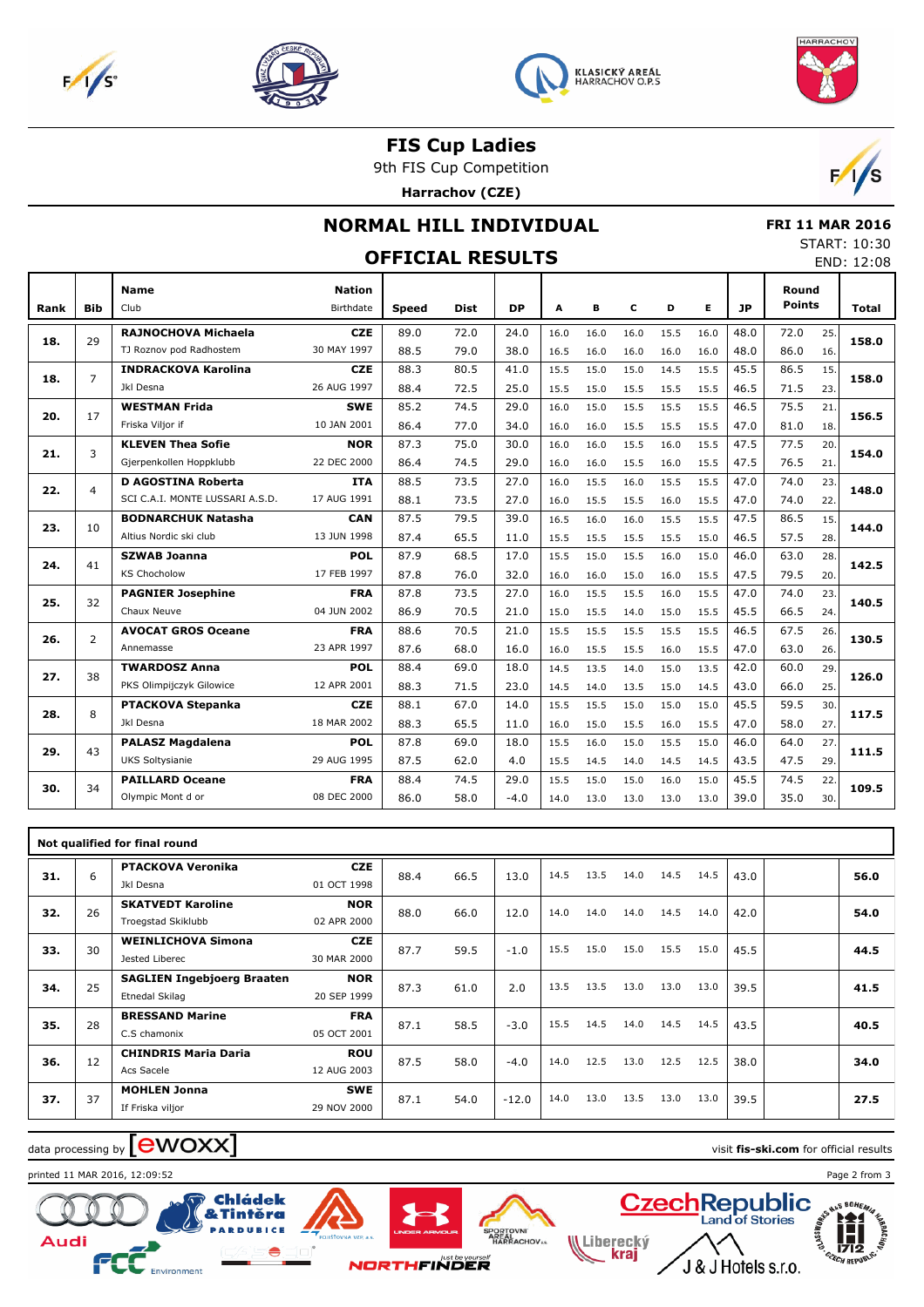







**FIS Cup Ladies**

9th FIS Cup Competition

**Harrachov (CZE)**



### **NORMAL HILL INDIVIDUAL**

 **FRI 11 MAR 2016** START: 10:30

|      |                |                                 |                            | <b>OFFICIAL RESULTS</b> |      |           |      |      |      |      |      |           |                        |     | 31 ARI . 10.30<br>END: 12:08 |
|------|----------------|---------------------------------|----------------------------|-------------------------|------|-----------|------|------|------|------|------|-----------|------------------------|-----|------------------------------|
| Rank | <b>Bib</b>     | <b>Name</b><br>Club             | <b>Nation</b><br>Birthdate | <b>Speed</b>            | Dist | <b>DP</b> | Α    | в    | c    | D    | E.   | <b>JP</b> | Round<br><b>Points</b> |     | <b>Total</b>                 |
|      |                | RAJNOCHOVA Michaela             | <b>CZE</b>                 | 89.0                    | 72.0 | 24.0      | 16.0 | 16.0 | 16.0 | 15.5 | 16.0 | 48.0      | 72.0                   | 25. |                              |
| 18.  | 29             | TJ Roznov pod Radhostem         | 30 MAY 1997                | 88.5                    | 79.0 | 38.0      | 16.5 | 16.0 | 16.0 | 16.0 | 16.0 | 48.0      | 86.0                   | 16. | 158.0                        |
| 18.  | $\overline{7}$ | <b>INDRACKOVA Karolina</b>      | <b>CZE</b>                 | 88.3                    | 80.5 | 41.0      | 15.5 | 15.0 | 15.0 | 14.5 | 15.5 | 45.5      | 86.5                   | 15. | 158.0                        |
|      |                | Jkl Desna                       | 26 AUG 1997                | 88.4                    | 72.5 | 25.0      | 15.5 | 15.0 | 15.5 | 15.5 | 15.5 | 46.5      | 71.5                   | 23. |                              |
| 20.  | 17             | <b>WESTMAN Frida</b>            | <b>SWE</b>                 | 85.2                    | 74.5 | 29.0      | 16.0 | 15.0 | 15.5 | 15.5 | 15.5 | 46.5      | 75.5                   | 21. | 156.5                        |
|      |                | Friska Viljor if                | 10 JAN 2001                | 86.4                    | 77.0 | 34.0      | 16.0 | 16.0 | 15.5 | 15.5 | 15.5 | 47.0      | 81.0                   | 18. |                              |
| 21.  | 3              | <b>KLEVEN Thea Sofie</b>        | NOR                        | 87.3                    | 75.0 | 30.0      | 16.0 | 16.0 | 15.5 | 16.0 | 15.5 | 47.5      | 77.5                   | 20. | 154.0                        |
|      |                | Gjerpenkollen Hoppklubb         | 22 DEC 2000                | 86.4                    | 74.5 | 29.0      | 16.0 | 16.0 | 15.5 | 16.0 | 15.5 | 47.5      | 76.5                   | 21. |                              |
| 22.  | $\overline{4}$ | <b>D AGOSTINA Roberta</b>       | <b>ITA</b>                 | 88.5                    | 73.5 | 27.0      | 16.0 | 15.5 | 16.0 | 15.5 | 15.5 | 47.0      | 74.0                   | 23. | 148.0                        |
|      |                | SCI C.A.I. MONTE LUSSARI A.S.D. | 17 AUG 1991                | 88.1                    | 73.5 | 27.0      | 16.0 | 15.5 | 15.5 | 16.0 | 15.5 | 47.0      | 74.0                   | 22. |                              |
| 23.  | 10             | <b>BODNARCHUK Natasha</b>       | <b>CAN</b>                 | 87.5                    | 79.5 | 39.0      | 16.5 | 16.0 | 16.0 | 15.5 | 15.5 | 47.5      | 86.5                   | 15. | 144.0                        |
|      |                | Altius Nordic ski club          | 13 JUN 1998                | 87.4                    | 65.5 | 11.0      | 15.5 | 15.5 | 15.5 | 15.5 | 15.0 | 46.5      | 57.5                   | 28. |                              |
| 24.  | 41             | <b>SZWAB Joanna</b>             | POL                        | 87.9                    | 68.5 | 17.0      | 15.5 | 15.0 | 15.5 | 16.0 | 15.0 | 46.0      | 63.0                   | 28. | 142.5                        |
|      |                | <b>KS Chocholow</b>             | 17 FEB 1997                | 87.8                    | 76.0 | 32.0      | 16.0 | 16.0 | 15.0 | 16.0 | 15.5 | 47.5      | 79.5                   | 20. |                              |
| 25.  | 32             | <b>PAGNIER Josephine</b>        | <b>FRA</b>                 | 87.8                    | 73.5 | 27.0      | 16.0 | 15.5 | 15.5 | 16.0 | 15.5 | 47.0      | 74.0                   | 23. | 140.5                        |
|      |                | Chaux Neuve                     | 04 JUN 2002                | 86.9                    | 70.5 | 21.0      | 15.0 | 15.5 | 14.0 | 15.0 | 15.5 | 45.5      | 66.5                   | 24. |                              |
| 26.  | $\overline{2}$ | <b>AVOCAT GROS Oceane</b>       | <b>FRA</b>                 | 88.6                    | 70.5 | 21.0      | 15.5 | 15.5 | 15.5 | 15.5 | 15.5 | 46.5      | 67.5                   | 26. | 130.5                        |
|      |                | Annemasse                       | 23 APR 1997                | 87.6                    | 68.0 | 16.0      | 16.0 | 15.5 | 15.5 | 16.0 | 15.5 | 47.0      | 63.0                   | 26. |                              |
| 27.  | 38             | <b>TWARDOSZ Anna</b>            | POL                        | 88.4                    | 69.0 | 18.0      | 14.5 | 13.5 | 14.0 | 15.0 | 13.5 | 42.0      | 60.0                   | 29. | 126.0                        |
|      |                | PKS Olimpijczyk Gilowice        | 12 APR 2001                | 88.3                    | 71.5 | 23.0      | 14.5 | 14.0 | 13.5 | 15.0 | 14.5 | 43.0      | 66.0                   | 25. |                              |
| 28.  | 8              | PTACKOVA Stepanka               | <b>CZE</b>                 | 88.1                    | 67.0 | 14.0      | 15.5 | 15.5 | 15.0 | 15.0 | 15.0 | 45.5      | 59.5                   | 30. | 117.5                        |
|      |                | Jkl Desna                       | 18 MAR 2002                | 88.3                    | 65.5 | 11.0      | 16.0 | 15.0 | 15.5 | 16.0 | 15.5 | 47.0      | 58.0                   | 27. |                              |
| 29.  | 43             | <b>PALASZ Magdalena</b>         | <b>POL</b>                 | 87.8                    | 69.0 | 18.0      | 15.5 | 16.0 | 15.0 | 15.5 | 15.0 | 46.0      | 64.0                   | 27. | 111.5                        |
|      |                | <b>UKS Soltysianie</b>          | 29 AUG 1995                | 87.5                    | 62.0 | 4.0       | 15.5 | 14.5 | 14.0 | 14.5 | 14.5 | 43.5      | 47.5                   | 29. |                              |
| 30.  | 34             | <b>PAILLARD Oceane</b>          | <b>FRA</b>                 | 88.4                    | 74.5 | 29.0      | 15.5 | 15.0 | 15.0 | 16.0 | 15.0 | 45.5      | 74.5                   | 22. | 109.5                        |
|      |                | Olympic Mont d or               | 08 DEC 2000                | 86.0                    | 58.0 | $-4.0$    | 14.0 | 13.0 | 13.0 | 13.0 | 13.0 | 39.0      | 35.0                   | 30. |                              |

|     |    | Not qualified for final round     |             |      |      |         |      |      |      |      |      |      |      |
|-----|----|-----------------------------------|-------------|------|------|---------|------|------|------|------|------|------|------|
| 31. | 6  | <b>PTACKOVA Veronika</b>          | <b>CZE</b>  | 88.4 | 66.5 | 13.0    | 14.5 | 13.5 | 14.0 | 14.5 | 14.5 | 43.0 | 56.0 |
|     |    | Jkl Desna                         | 01 OCT 1998 |      |      |         |      |      |      |      |      |      |      |
| 32. | 26 | <b>SKATVEDT Karoline</b>          | <b>NOR</b>  | 88.0 | 66.0 | 12.0    | 14.0 | 14.0 | 14.0 | 14.5 | 14.0 | 42.0 | 54.0 |
|     |    | Troegstad Skiklubb                | 02 APR 2000 |      |      |         |      |      |      |      |      |      |      |
| 33. | 30 | <b>WEINLICHOVA Simona</b>         | <b>CZE</b>  | 87.7 | 59.5 | $-1.0$  | 15.5 | 15.0 | 15.0 | 15.5 | 15.0 | 45.5 | 44.5 |
|     |    | Jested Liberec                    | 30 MAR 2000 |      |      |         |      |      |      |      |      |      |      |
| 34. | 25 | <b>SAGLIEN Ingebjoerg Braaten</b> | <b>NOR</b>  | 87.3 | 61.0 | 2.0     | 13.5 | 13.5 | 13.0 | 13.0 | 13.0 | 39.5 | 41.5 |
|     |    | Etnedal Skilag                    | 20 SEP 1999 |      |      |         |      |      |      |      |      |      |      |
| 35. | 28 | <b>BRESSAND Marine</b>            | <b>FRA</b>  | 87.1 | 58.5 |         | 15.5 | 14.5 | 14.0 | 14.5 | 14.5 |      | 40.5 |
|     |    | C.S chamonix                      | 05 OCT 2001 |      |      | $-3.0$  |      |      |      |      |      | 43.5 |      |
| 36. | 12 | <b>CHINDRIS Maria Daria</b>       | <b>ROU</b>  | 87.5 | 58.0 | $-4.0$  | 14.0 | 12.5 | 13.0 | 12.5 | 12.5 | 38.0 | 34.0 |
|     |    | Acs Sacele                        | 12 AUG 2003 |      |      |         |      |      |      |      |      |      |      |
| 37. | 37 | <b>MOHLEN Jonna</b>               | <b>SWE</b>  | 87.1 | 54.0 | $-12.0$ | 14.0 | 13.0 | 13.5 | 13.0 | 13.0 |      | 27.5 |
|     |    | If Friska viljor                  | 29 NOV 2000 |      |      |         |      |      |      |      |      | 39.5 |      |

#### $\frac{1}{2}$  data processing by  $\boxed{\text{ewOX}}$

printed 11 MAR 2016, 12:09:52 Page 2 from 3







Liberecký<br>**Kraj**